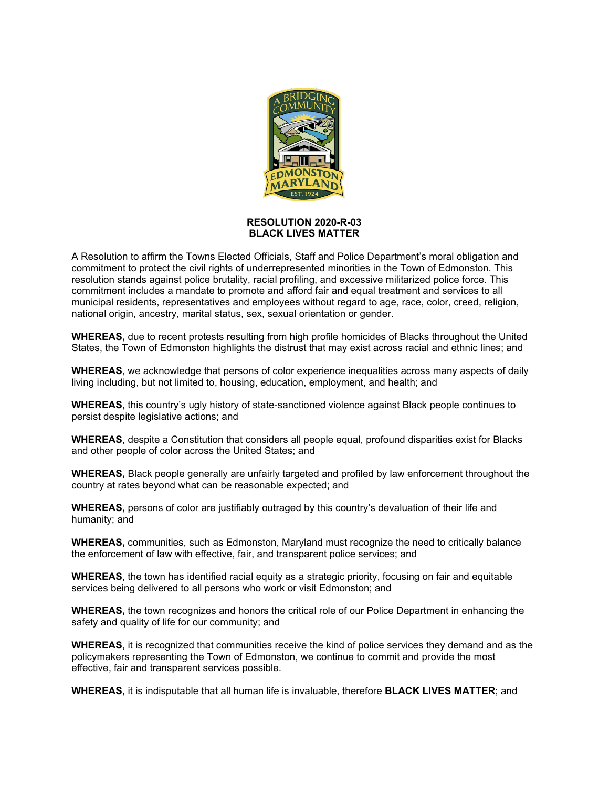

## **RESOLUTION 2020-R-03 BLACK LIVES MATTER**

A Resolution to affirm the Towns Elected Officials, Staff and Police Department's moral obligation and commitment to protect the civil rights of underrepresented minorities in the Town of Edmonston. This resolution stands against police brutality, racial profiling, and excessive militarized police force. This commitment includes a mandate to promote and afford fair and equal treatment and services to all municipal residents, representatives and employees without regard to age, race, color, creed, religion, national origin, ancestry, marital status, sex, sexual orientation or gender.

**WHEREAS,** due to recent protests resulting from high profile homicides of Blacks throughout the United States, the Town of Edmonston highlights the distrust that may exist across racial and ethnic lines; and

**WHEREAS**, we acknowledge that persons of color experience inequalities across many aspects of daily living including, but not limited to, housing, education, employment, and health; and

**WHEREAS,** this country's ugly history of state-sanctioned violence against Black people continues to persist despite legislative actions; and

**WHEREAS**, despite a Constitution that considers all people equal, profound disparities exist for Blacks and other people of color across the United States; and

**WHEREAS,** Black people generally are unfairly targeted and profiled by law enforcement throughout the country at rates beyond what can be reasonable expected; and

**WHEREAS,** persons of color are justifiably outraged by this country's devaluation of their life and humanity; and

**WHEREAS,** communities, such as Edmonston, Maryland must recognize the need to critically balance the enforcement of law with effective, fair, and transparent police services; and

**WHEREAS**, the town has identified racial equity as a strategic priority, focusing on fair and equitable services being delivered to all persons who work or visit Edmonston; and

**WHEREAS,** the town recognizes and honors the critical role of our Police Department in enhancing the safety and quality of life for our community; and

**WHEREAS**, it is recognized that communities receive the kind of police services they demand and as the policymakers representing the Town of Edmonston, we continue to commit and provide the most effective, fair and transparent services possible.

**WHEREAS,** it is indisputable that all human life is invaluable, therefore **BLACK LIVES MATTER**; and